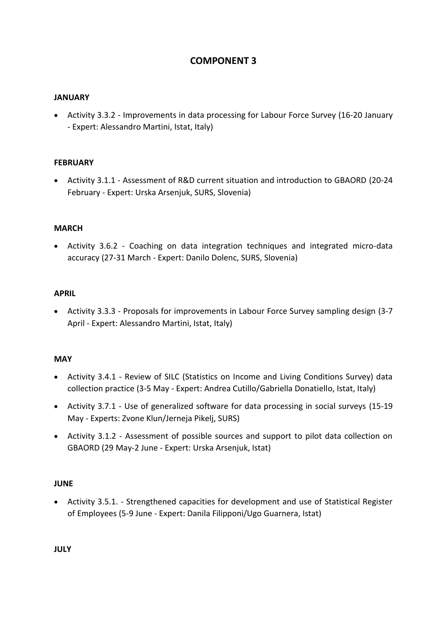# **COMPONENT 3**

### **JANUARY**

 Activity 3.3.2 - Improvements in data processing for Labour Force Survey (16-20 January - Expert: Alessandro Martini, Istat, Italy)

#### **FEBRUARY**

 Activity 3.1.1 - Assessment of R&D current situation and introduction to GBAORD (20-24 February - Expert: Urska Arsenjuk, SURS, Slovenia)

#### **MARCH**

 Activity 3.6.2 - Coaching on data integration techniques and integrated micro-data accuracy (27-31 March - Expert: Danilo Dolenc, SURS, Slovenia)

#### **APRIL**

 Activity 3.3.3 - Proposals for improvements in Labour Force Survey sampling design (3-7 April - Expert: Alessandro Martini, Istat, Italy)

#### **MAY**

- Activity 3.4.1 Review of SILC (Statistics on Income and Living Conditions Survey) data collection practice (3-5 May - Expert: Andrea Cutillo/Gabriella Donatiello, Istat, Italy)
- Activity 3.7.1 Use of generalized software for data processing in social surveys (15-19 May - Experts: Zvone Klun/Jerneja Pikelj, SURS)
- Activity 3.1.2 Assessment of possible sources and support to pilot data collection on GBAORD (29 May-2 June - Expert: Urska Arsenjuk, Istat)

#### **JUNE**

 Activity 3.5.1. - Strengthened capacities for development and use of Statistical Register of Employees (5-9 June - Expert: Danila Filipponi/Ugo Guarnera, Istat)

**JULY**